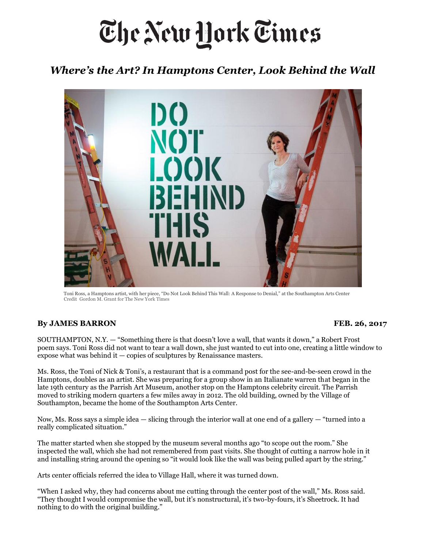## The New York Times

## *Where's the Art? In Hamptons Center, Look Behind the Wall*



 Toni Ross, a Hamptons artist, with her piece, "Do Not Look Behind This Wall: A Response to Denial," at the Southampton Arts Center Credit Gordon M. Grant for The New York Times

## **By [JAMES BARRON](https://www.nytimes.com/by/james-barron) FEB. 26, 2017**

SOUTHAMPTON, N.Y. — "Something there is that doesn't love a wall, that wants it down," a Robert Frost poem [says.](https://www.poetryfoundation.org/poems-and-poets/poems/detail/44266) Toni Ross did not want to tear a wall down, she just wanted to cut into one, creating a little window to expose what was behind it — copies of sculptures by Renaissance masters.

Ms. Ross, the Toni of Nick & Toni's, a restaurant that is a command post for the see-and-be-seen crowd in the Hamptons, doubles as an artist. She was preparing for a group show in an Italianate warren that began in the late 19th century as the [Parrish Art Museum,](http://www.parrishart.org/) another stop on the Hamptons celebrity circuit. The Parrish moved to striking modern quarters a few miles away in 2012. The old building, owned by the [Village of](http://southamptonvillage.org/)  [Southampton,](http://southamptonvillage.org/) became the home of the [Southampton Arts Center.](http://southamptonartscenter.org/)

Now, Ms. Ross says a simple idea — slicing through the interior wall at one end of a gallery — "turned into a really complicated situation."

The matter started when she stopped by the museum several months ago "to scope out the room." She inspected the wall, which she had not remembered from past visits. She thought of cutting a narrow hole in it and installing string around the opening so "it would look like the wall was being pulled apart by the string."

Arts center officials referred the idea to Village Hall, where it was turned down.

"When I asked why, they had concerns about me cutting through the center post of the wall," Ms. Ross said. "They thought I would compromise the wall, but it's nonstructural, it's two-by-fours, it's Sheetrock. It had nothing to do with the original building."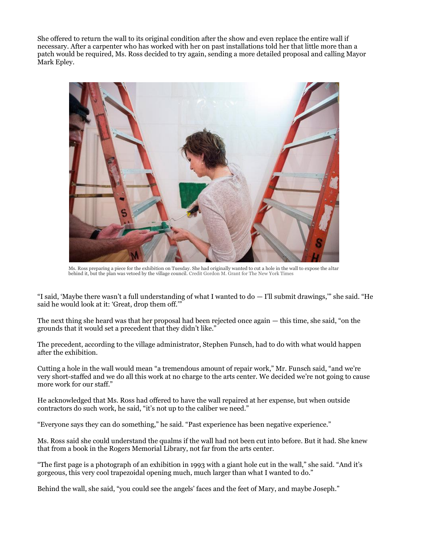She offered to return the wall to its original condition after the show and even replace the entire wall if necessary. After a carpenter who has worked with her on past installations told her that little more than a patch would be required, Ms. Ross decided to try again, sending a more detailed proposal and calling Mayor Mark Epley.



 Ms. Ross preparing a piece for the exhibition on Tuesday. She had originally wanted to cut a hole in the wall to expose the altar behind it, but the plan was vetoed by the village council. Credit Gordon M. Grant for The New York Times

"I said, 'Maybe there wasn't a full understanding of what I wanted to do — I'll submit drawings,'" she said. "He said he would look at it: 'Great, drop them off.'"

The next thing she heard was that her proposal had been rejected once again — this time, she said, "on the grounds that it would set a precedent that they didn't like."

The precedent, according to the village administrator, Stephen Funsch, had to do with what would happen after the exhibition.

Cutting a hole in the wall would mean "a tremendous amount of repair work," Mr. Funsch said, "and we're very short-staffed and we do all this work at no charge to the arts center. We decided we're not going to cause more work for our staff."

He acknowledged that Ms. Ross had offered to have the wall repaired at her expense, but when outside contractors do such work, he said, "it's not up to the caliber we need."

"Everyone says they can do something," he said. "Past experience has been negative experience."

Ms. Ross said she could understand the qualms if the wall had not been cut into before. But it had. She knew that from a book in the Rogers Memorial Library, not far from the arts center.

"The first page is a photograph of an exhibition in 1993 with a giant hole cut in the wall," she said. "And it's gorgeous, this very cool trapezoidal opening much, much larger than what I wanted to do."

Behind the wall, she said, "you could see the angels' faces and the feet of Mary, and maybe Joseph."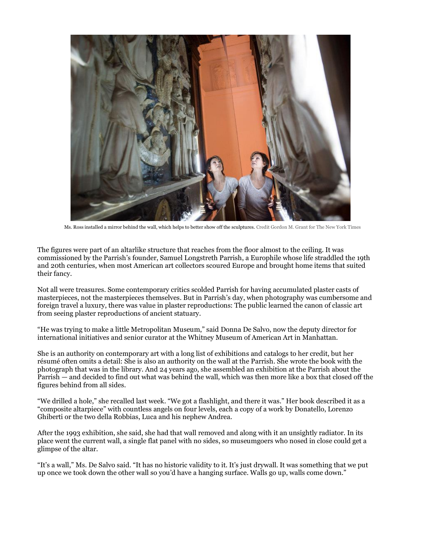

Ms. Ross installed a mirror behind the wall, which helps to better show off the sculptures. Credit Gordon M. Grant for The New York Times

The figures were part of an altarlike structure that reaches from the floor almost to the ceiling. It was commissioned by the Parrish's founder, Samuel Longstreth Parrish, a Europhile whose life straddled the 19th and 20th centuries, when most American art collectors scoured Europe and brought home items that suited their fancy.

Not all were treasures. Some contemporary critics scolded Parrish for having accumulated plaster casts of masterpieces, not the masterpieces themselves. But in Parrish's day, when photography was cumbersome and foreign travel a luxury, there was value in plaster reproductions: The public learned the canon of classic art from seeing plaster reproductions of ancient statuary.

"He was trying to make a little Metropolitan Museum," said [Donna De Salvo,](http://whitney.org/About/Bios) now the deputy director for international initiatives and senior curator at the Whitney Museum of American Art in Manhattan.

She is an authority on contemporary art with a long list of exhibitions and catalogs to her credit, but her résumé often omits a detail: She is also an authority on the wall at the Parrish. She [wrote the book with the](https://books.google.com/books/about/Past_Imperfect.html?id=nWmQQgAACAAJ)  [photograph](https://books.google.com/books/about/Past_Imperfect.html?id=nWmQQgAACAAJ) that was in the library. And 24 years ago, she assembled an exhibition at the Parrish about the Parrish — and decided to find out what was behind the wall, which was then more like a box that closed off the figures behind from all sides.

"We drilled a hole," she recalled last week. "We got a flashlight, and there it was." Her book described it as a "composite altarpiece" with countless angels on four levels, each a copy of a work by Donatello, Lorenzo Ghiberti or the two della Robbias, Luca and his nephew Andrea.

After the 1993 exhibition, she said, she had that wall removed and along with it an unsightly radiator. In its place went the current wall, a single flat panel with no sides, so museumgoers who nosed in close could get a glimpse of the altar.

"It's a wall," Ms. De Salvo said. "It has no historic validity to it. It's just drywall. It was something that we put up once we took down the other wall so you'd have a hanging surface. Walls go up, walls come down."